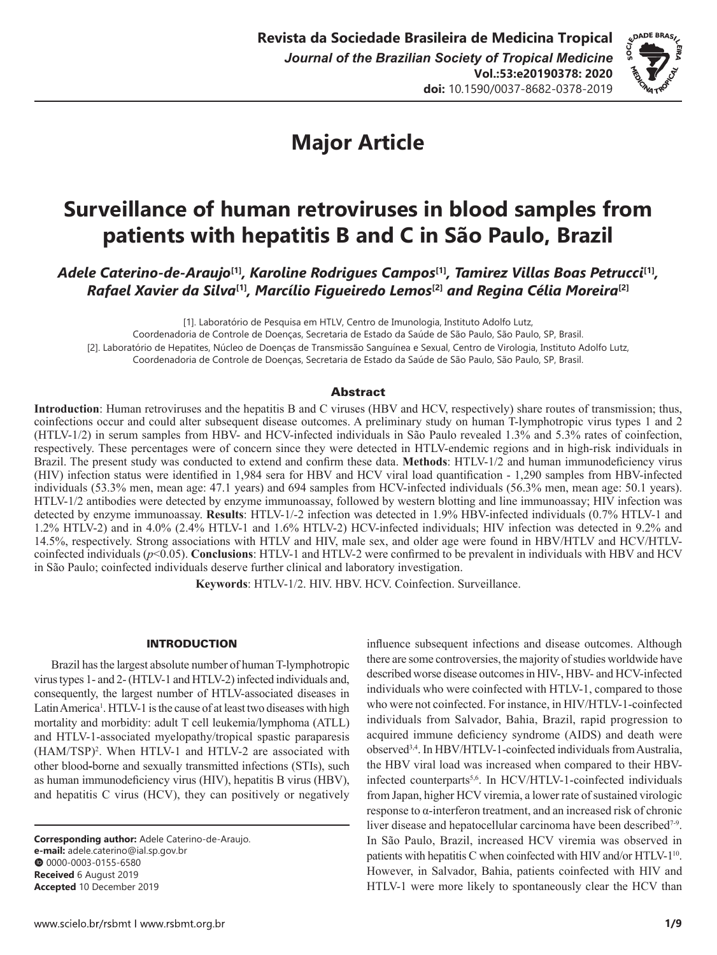

# **Major Article**

# **Surveillance of human retroviruses in blood samples from patients with hepatitis B and C in São Paulo, Brazil**

*Adele Caterino-de-Araujo***[1]***, Karoline Rodrigues Campos***[1]***, Tamirez Villas Boas Petrucci***[1]***, Rafael Xavier da Silva***[1]***, Marcílio Figueiredo Lemos***[2]** *and Regina Célia Moreira***[2]**

[1]. Laboratório de Pesquisa em HTLV, Centro de Imunologia, Instituto Adolfo Lutz,

Coordenadoria de Controle de Doenças, Secretaria de Estado da Saúde de São Paulo, São Paulo, SP, Brasil. [2]. Laboratório de Hepatites, Núcleo de Doenças de Transmissão Sanguínea e Sexual, Centro de Virologia, Instituto Adolfo Lutz,

Coordenadoria de Controle de Doenças, Secretaria de Estado da Saúde de São Paulo, São Paulo, SP, Brasil.

# Abstract

**Introduction**: Human retroviruses and the hepatitis B and C viruses (HBV and HCV, respectively) share routes of transmission; thus, coinfections occur and could alter subsequent disease outcomes. A preliminary study on human T-lymphotropic virus types 1 and 2 (HTLV-1/2) in serum samples from HBV- and HCV-infected individuals in São Paulo revealed 1.3% and 5.3% rates of coinfection, respectively. These percentages were of concern since they were detected in HTLV-endemic regions and in high-risk individuals in Brazil. The present study was conducted to extend and confirm these data. **Methods**: HTLV-1/2 and human immunodeficiency virus (HIV) infection status were identified in 1,984 sera for HBV and HCV viral load quantification - 1,290 samples from HBV-infected individuals (53.3% men, mean age: 47.1 years) and 694 samples from HCV-infected individuals (56.3% men, mean age: 50.1 years). HTLV-1/2 antibodies were detected by enzyme immunoassay, followed by western blotting and line immunoassay; HIV infection was detected by enzyme immunoassay. **Results**: HTLV-1/-2 infection was detected in 1.9% HBV-infected individuals (0.7% HTLV-1 and 1.2% HTLV-2) and in 4.0% (2.4% HTLV-1 and 1.6% HTLV-2) HCV-infected individuals; HIV infection was detected in 9.2% and 14.5%, respectively. Strong associations with HTLV and HIV, male sex, and older age were found in HBV/HTLV and HCV/HTLVcoinfected individuals ( $p$ <0.05). **Conclusions**: HTLV-1 and HTLV-2 were confirmed to be prevalent in individuals with HBV and HCV in São Paulo; coinfected individuals deserve further clinical and laboratory investigation.

**Keywords**: HTLV-1/2. HIV. HBV. HCV. Coinfection. Surveillance.

# INTRODUCTION

Brazil has the largest absolute number of human T-lymphotropic virus types 1- and 2- (HTLV-1 and HTLV-2) infected individuals and, consequently, the largest number of HTLV-associated diseases in Latin America<sup>1</sup>. HTLV-1 is the cause of at least two diseases with high mortality and morbidity: adult T cell leukemia/lymphoma (ATLL) and HTLV-1-associated myelopathy/tropical spastic paraparesis (HAM/TSP)2 . When HTLV-1 and HTLV-2 are associated with other blood**-**borne and sexually transmitted infections (STIs), such as human immunodeficiency virus (HIV), hepatitis B virus (HBV), and hepatitis C virus (HCV), they can positively or negatively

**Corresponding author:** Adele Caterino-de-Araujo. **e-mail:** adele.caterino@ial.sp.gov.br 00000-0003-0155-6580 **Received** 6 August 2019 **Accepted** 10 December 2019

influence subsequent infections and disease outcomes. Although there are some controversies, the majority of studies worldwide have described worse disease outcomes in HIV-, HBV- and HCV-infected individuals who were coinfected with HTLV-1, compared to those who were not coinfected. For instance, in HIV/HTLV-1-coinfected individuals from Salvador, Bahia, Brazil, rapid progression to acquired immune deficiency syndrome (AIDS) and death were observed3,4. In HBV/HTLV-1-coinfected individuals from Australia, the HBV viral load was increased when compared to their HBVinfected counterparts<sup>5,6</sup>. In HCV/HTLV-1-coinfected individuals from Japan, higher HCV viremia, a lower rate of sustained virologic response to α-interferon treatment, and an increased risk of chronic liver disease and hepatocellular carcinoma have been described<sup>7-9</sup>. In São Paulo, Brazil, increased HCV viremia was observed in patients with hepatitis C when coinfected with HIV and/or HTLV-1<sup>10</sup>. However, in Salvador, Bahia, patients coinfected with HIV and HTLV-1 were more likely to spontaneously clear the HCV than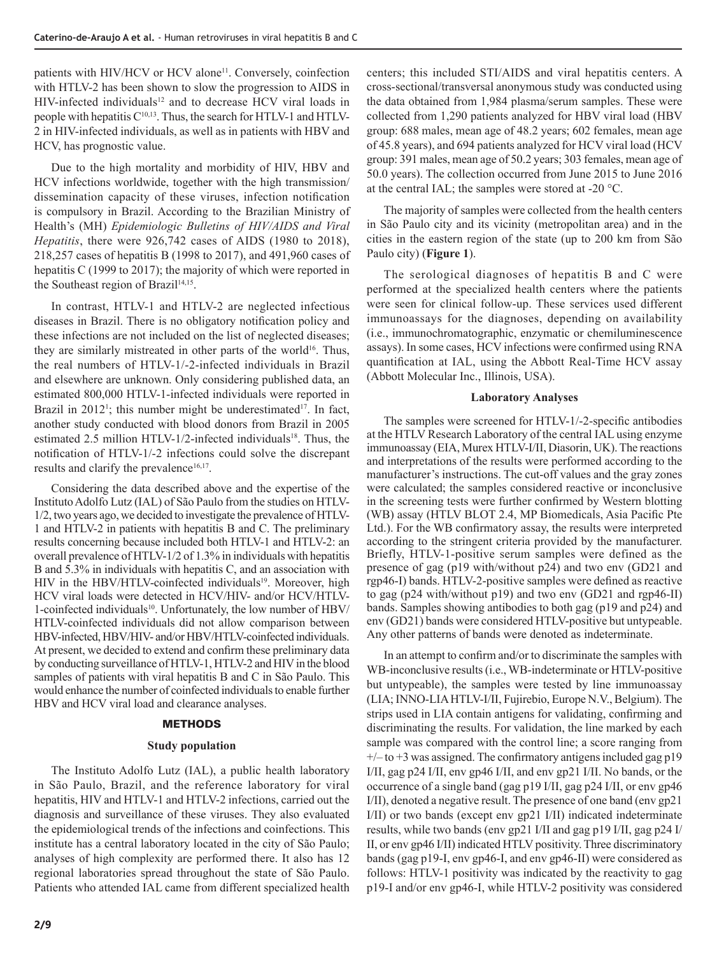patients with HIV/HCV or HCV alone<sup>11</sup>. Conversely, coinfection with HTLV-2 has been shown to slow the progression to AIDS in HIV-infected individuals<sup>12</sup> and to decrease HCV viral loads in people with hepatitis  $C^{10,13}$ . Thus, the search for HTLV-1 and HTLV-2 in HIV-infected individuals, as well as in patients with HBV and HCV, has prognostic value.

Due to the high mortality and morbidity of HIV, HBV and HCV infections worldwide, together with the high transmission/ dissemination capacity of these viruses, infection notification is compulsory in Brazil. According to the Brazilian Ministry of Health's (MH) *Epidemiologic Bulletins of HIV/AIDS and Viral Hepatitis*, there were 926,742 cases of AIDS (1980 to 2018), 218,257 cases of hepatitis B (1998 to 2017), and 491,960 cases of hepatitis C (1999 to 2017); the majority of which were reported in the Southeast region of Brazil<sup>14,15</sup>.

In contrast, HTLV-1 and HTLV-2 are neglected infectious diseases in Brazil. There is no obligatory notification policy and these infections are not included on the list of neglected diseases; they are similarly mistreated in other parts of the world<sup>16</sup>. Thus, the real numbers of HTLV-1/-2-infected individuals in Brazil and elsewhere are unknown. Only considering published data, an estimated 800,000 HTLV-1-infected individuals were reported in Brazil in  $2012^1$ ; this number might be underestimated<sup>17</sup>. In fact, another study conducted with blood donors from Brazil in 2005 estimated 2.5 million HTLV-1/2-infected individuals<sup>18</sup>. Thus, the notification of HTLV-1/-2 infections could solve the discrepant results and clarify the prevalence<sup>16,17</sup>.

Considering the data described above and the expertise of the Instituto Adolfo Lutz (IAL) of São Paulo from the studies on HTLV-1/2, two years ago, we decided to investigate the prevalence of HTLV-1 and HTLV-2 in patients with hepatitis B and C. The preliminary results concerning because included both HTLV-1 and HTLV-2: an overall prevalence of HTLV-1/2 of 1.3% in individuals with hepatitis B and 5.3% in individuals with hepatitis C, and an association with HIV in the HBV/HTLV-coinfected individuals<sup>19</sup>. Moreover, high HCV viral loads were detected in HCV/HIV- and/or HCV/HTLV-1-coinfected individuals<sup>10</sup>. Unfortunately, the low number of HBV/ HTLV-coinfected individuals did not allow comparison between HBV-infected, HBV/HIV- and/or HBV/HTLV-coinfected individuals. At present, we decided to extend and confirm these preliminary data by conducting surveillance of HTLV-1, HTLV-2 and HIV in the blood samples of patients with viral hepatitis B and C in São Paulo. This would enhance the number of coinfected individuals to enable further HBV and HCV viral load and clearance analyses.

# **METHODS**

#### **Study population**

The Instituto Adolfo Lutz (IAL), a public health laboratory in São Paulo, Brazil, and the reference laboratory for viral hepatitis, HIV and HTLV-1 and HTLV-2 infections, carried out the diagnosis and surveillance of these viruses. They also evaluated the epidemiological trends of the infections and coinfections. This institute has a central laboratory located in the city of São Paulo; analyses of high complexity are performed there. It also has 12 regional laboratories spread throughout the state of São Paulo. Patients who attended IAL came from different specialized health centers; this included STI/AIDS and viral hepatitis centers. A cross-sectional/transversal anonymous study was conducted using the data obtained from 1,984 plasma/serum samples. These were collected from 1,290 patients analyzed for HBV viral load (HBV group: 688 males, mean age of 48.2 years; 602 females, mean age of 45.8 years), and 694 patients analyzed for HCV viral load (HCV group: 391 males, mean age of 50.2 years; 303 females, mean age of 50.0 years). The collection occurred from June 2015 to June 2016 at the central IAL; the samples were stored at -20 °C.

The majority of samples were collected from the health centers in São Paulo city and its vicinity (metropolitan area) and in the cities in the eastern region of the state (up to 200 km from São Paulo city) (**Figure 1**).

The serological diagnoses of hepatitis B and C were performed at the specialized health centers where the patients were seen for clinical follow-up. These services used different immunoassays for the diagnoses, depending on availability (i.e., immunochromatographic, enzymatic or chemiluminescence assays). In some cases, HCV infections were confirmed using RNA quantification at IAL, using the Abbott Real-Time HCV assay (Abbott Molecular Inc., Illinois, USA).

# **Laboratory Analyses**

The samples were screened for HTLV-1/-2-specific antibodies at the HTLV Research Laboratory of the central IAL using enzyme immunoassay (EIA, Murex HTLV-I/II, Diasorin, UK). The reactions and interpretations of the results were performed according to the manufacturer's instructions. The cut-off values and the gray zones were calculated; the samples considered reactive or inconclusive in the screening tests were further confirmed by Western blotting (WB) assay (HTLV BLOT 2.4, MP Biomedicals, Asia Pacific Pte Ltd.). For the WB confirmatory assay, the results were interpreted according to the stringent criteria provided by the manufacturer. Briefly, HTLV-1-positive serum samples were defined as the presence of gag (p19 with/without p24) and two env (GD21 and rgp46-I) bands. HTLV-2-positive samples were defined as reactive to gag (p24 with/without p19) and two env (GD21 and rgp46-II) bands. Samples showing antibodies to both gag (p19 and p24) and env (GD21) bands were considered HTLV-positive but untypeable. Any other patterns of bands were denoted as indeterminate.

In an attempt to confirm and/or to discriminate the samples with WB-inconclusive results (i.e., WB-indeterminate or HTLV-positive but untypeable), the samples were tested by line immunoassay (LIA; INNO-LIA HTLV-I/II, Fujirebio, Europe N.V., Belgium). The strips used in LIA contain antigens for validating, confirming and discriminating the results. For validation, the line marked by each sample was compared with the control line; a score ranging from  $+/-$  to  $+3$  was assigned. The confirmatory antigens included gag p19 I/II, gag p24 I/II, env gp46 I/II, and env gp21 I/II. No bands, or the occurrence of a single band (gag p19 I/II, gag p24 I/II, or env gp46 I/II), denoted a negative result. The presence of one band (env gp21 I/II) or two bands (except env gp21 I/II) indicated indeterminate results, while two bands (env gp21 I/II and gag p19 I/II, gag p24 I/ II, or env gp46 I/II) indicated HTLV positivity. Three discriminatory bands (gag p19-I, env gp46-I, and env gp46-II) were considered as follows: HTLV-1 positivity was indicated by the reactivity to gag p19-I and/or env gp46-I, while HTLV-2 positivity was considered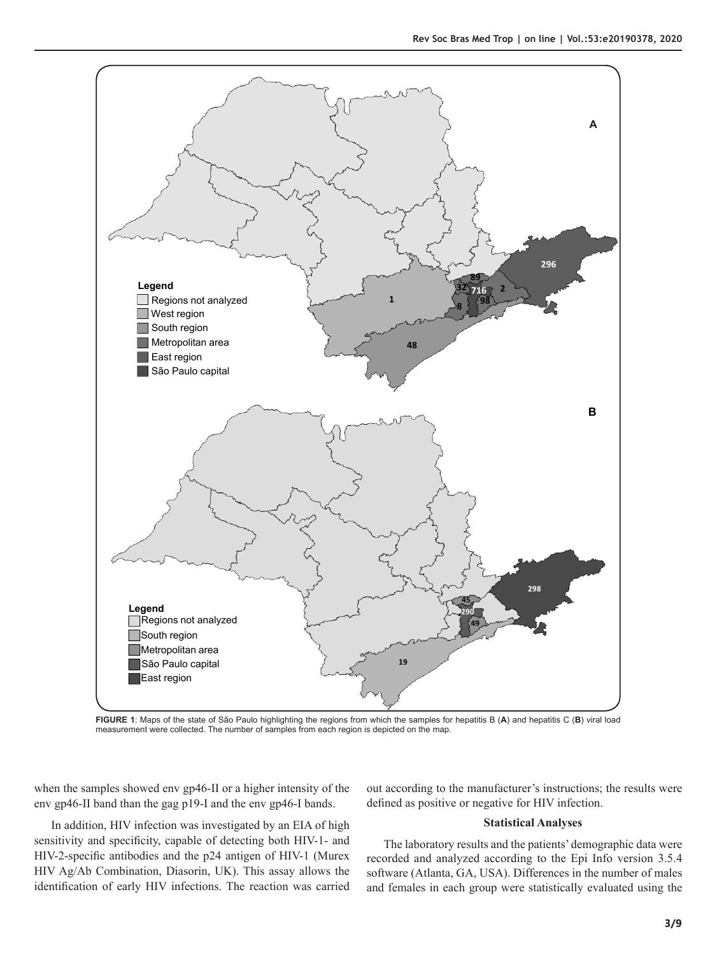

**FIGURE 1**: Maps of the state of São Paulo highlighting the regions from which the samples for hepatitis B (**A**) and hepatitis C (**B**) viral load measurement were collected. The number of samples from each region is depicted on the map.

when the samples showed env gp46-II or a higher intensity of the env gp46-II band than the gag p19-I and the env gp46-I bands.

In addition, HIV infection was investigated by an EIA of high sensitivity and specificity, capable of detecting both HIV-1- and HIV-2-specific antibodies and the p24 antigen of HIV-1 (Murex HIV Ag/Ab Combination, Diasorin, UK). This assay allows the identification of early HIV infections. The reaction was carried

out according to the manufacturer's instructions; the results were defined as positive or negative for HIV infection.

## **Statistical Analyses**

The laboratory results and the patients' demographic data were recorded and analyzed according to the Epi Info version 3.5.4 software (Atlanta, GA, USA). Differences in the number of males and females in each group were statistically evaluated using the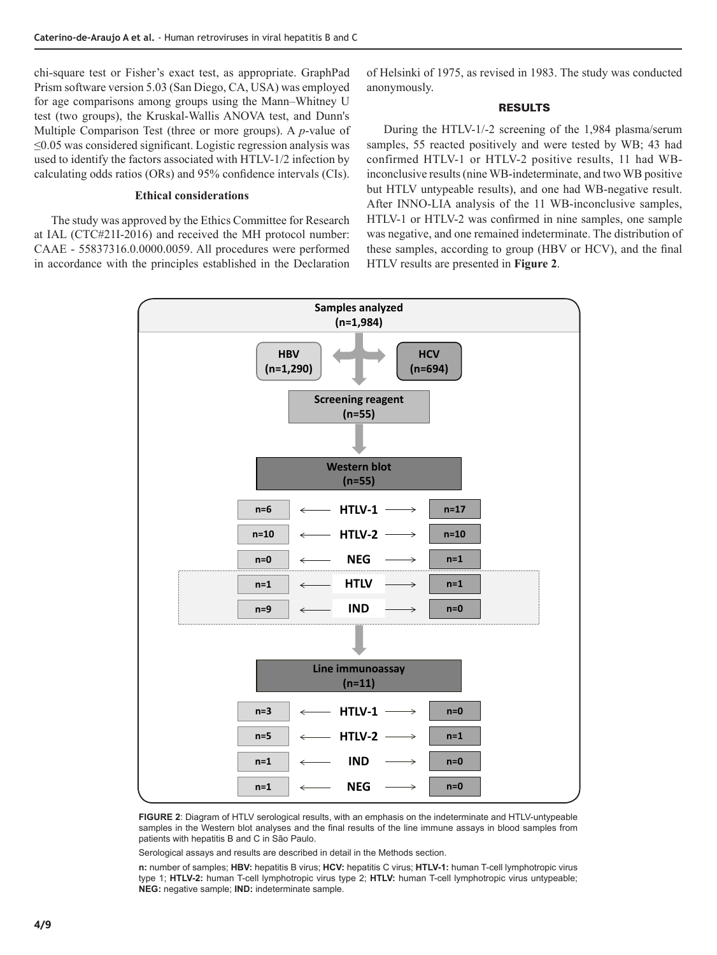chi-square test or Fisher's exact test, as appropriate. GraphPad Prism software version 5.03 (San Diego, CA, USA) was employed for age comparisons among groups using the Mann–Whitney U test (two groups), the Kruskal-Wallis ANOVA test, and Dunn's Multiple Comparison Test (three or more groups). A *p*-value of ≤0.05 was considered significant. Logistic regression analysis was used to identify the factors associated with HTLV-1/2 infection by calculating odds ratios (ORs) and 95% confidence intervals (CIs).

# **Ethical considerations**

The study was approved by the Ethics Committee for Research at IAL (CTC#21I-2016) and received the MH protocol number: CAAE - 55837316.0.0000.0059. All procedures were performed in accordance with the principles established in the Declaration of Helsinki of 1975, as revised in 1983. The study was conducted anonymously.

## RESULTS

During the HTLV-1/-2 screening of the 1,984 plasma/serum samples, 55 reacted positively and were tested by WB; 43 had confirmed HTLV-1 or HTLV-2 positive results, 11 had WBinconclusive results (nine WB-indeterminate, and two WB positive but HTLV untypeable results), and one had WB-negative result. After INNO-LIA analysis of the 11 WB-inconclusive samples, HTLV-1 or HTLV-2 was confirmed in nine samples, one sample was negative, and one remained indeterminate. The distribution of these samples, according to group (HBV or HCV), and the final HTLV results are presented in **Figure 2**.



**FIGURE 2**: Diagram of HTLV serological results, with an emphasis on the indeterminate and HTLV-untypeable samples in the Western blot analyses and the final results of the line immune assays in blood samples from patients with hepatitis B and C in São Paulo.

Serological assays and results are described in detail in the Methods section.

**n:** number of samples; **HBV:** hepatitis B virus; **HCV:** hepatitis C virus; **HTLV-1:** human T-cell lymphotropic virus type 1; **HTLV-2:** human T-cell lymphotropic virus type 2; **HTLV:** human T-cell lymphotropic virus untypeable; **NEG:** negative sample; **IND:** indeterminate sample.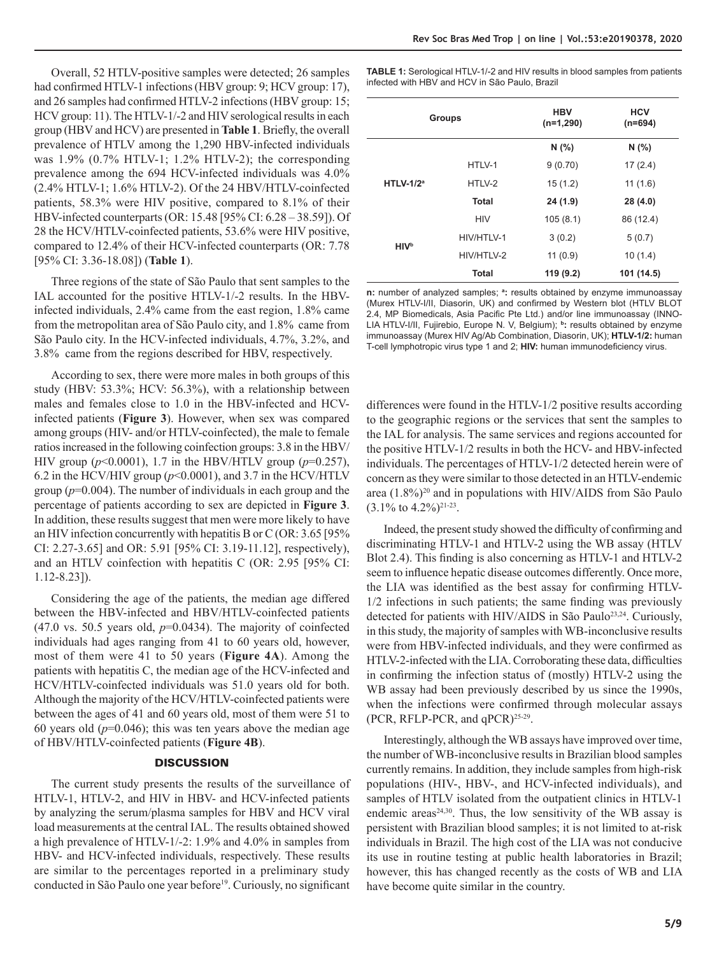Overall, 52 HTLV-positive samples were detected; 26 samples had confirmed HTLV-1 infections (HBV group: 9; HCV group: 17), and 26 samples had confirmed HTLV-2 infections (HBV group: 15; HCV group: 11). The HTLV-1/-2 and HIV serological results in each group (HBV and HCV) are presented in **Table 1**. Briefly, the overall prevalence of HTLV among the 1,290 HBV-infected individuals was 1.9% (0.7% HTLV-1; 1.2% HTLV-2); the corresponding prevalence among the 694 HCV-infected individuals was 4.0% (2.4% HTLV-1; 1.6% HTLV-2). Of the 24 HBV/HTLV-coinfected patients, 58.3% were HIV positive, compared to 8.1% of their HBV-infected counterparts (OR: 15.48 [95% CI: 6.28 – 38.59]). Of 28 the HCV/HTLV-coinfected patients, 53.6% were HIV positive, compared to 12.4% of their HCV-infected counterparts (OR: 7.78 [95% CI: 3.36-18.08]) (**Table 1**).

Three regions of the state of São Paulo that sent samples to the IAL accounted for the positive HTLV-1/-2 results. In the HBVinfected individuals, 2.4% came from the east region, 1.8% came from the metropolitan area of São Paulo city, and 1.8% came from São Paulo city. In the HCV-infected individuals, 4.7%, 3.2%, and 3.8% came from the regions described for HBV, respectively.

According to sex, there were more males in both groups of this study (HBV: 53.3%; HCV: 56.3%), with a relationship between males and females close to 1.0 in the HBV-infected and HCVinfected patients (**Figure 3**). However, when sex was compared among groups (HIV- and/or HTLV-coinfected), the male to female ratios increased in the following coinfection groups: 3.8 in the HBV/ HIV group  $(p<0.0001)$ , 1.7 in the HBV/HTLV group  $(p=0.257)$ , 6.2 in the HCV/HIV group ( $p$ <0.0001), and 3.7 in the HCV/HTLV group (*p*=0.004). The number of individuals in each group and the percentage of patients according to sex are depicted in **Figure 3**. In addition, these results suggest that men were more likely to have an HIV infection concurrently with hepatitis B or C (OR: 3.65 [95% CI: 2.27-3.65] and OR: 5.91 [95% CI: 3.19-11.12], respectively), and an HTLV coinfection with hepatitis C (OR: 2.95 [95% CI: 1.12-8.23]).

Considering the age of the patients, the median age differed between the HBV-infected and HBV/HTLV-coinfected patients  $(47.0 \text{ vs. } 50.5 \text{ years old}, p=0.0434)$ . The majority of coinfected individuals had ages ranging from 41 to 60 years old, however, most of them were 41 to 50 years (**Figure 4A**). Among the patients with hepatitis C, the median age of the HCV-infected and HCV/HTLV-coinfected individuals was 51.0 years old for both. Although the majority of the HCV/HTLV-coinfected patients were between the ages of 41 and 60 years old, most of them were 51 to 60 years old  $(p=0.046)$ ; this was ten years above the median age of HBV/HTLV-coinfected patients (**Figure 4B**).

## **DISCUSSION**

The current study presents the results of the surveillance of HTLV-1, HTLV-2, and HIV in HBV- and HCV-infected patients by analyzing the serum/plasma samples for HBV and HCV viral load measurements at the central IAL. The results obtained showed a high prevalence of HTLV-1/-2: 1.9% and 4.0% in samples from HBV- and HCV-infected individuals, respectively. These results are similar to the percentages reported in a preliminary study conducted in São Paulo one year before<sup>19</sup>. Curiously, no significant

**TABLE 1:** Serological HTLV-1/-2 and HIV results in blood samples from patients infected with HBV and HCV in São Paulo, Brazil

| Groups                 |              | <b>HBV</b><br>$(n=1,290)$ | <b>HCV</b><br>$(n=694)$ |
|------------------------|--------------|---------------------------|-------------------------|
|                        |              | N(%)                      | N(%)                    |
| $HTLV-1/2a$            | HTLV-1       | 9(0.70)                   | 17(2.4)                 |
|                        | HTLV-2       | 15(1.2)                   | 11(1.6)                 |
|                        | <b>Total</b> | 24 (1.9)                  | 28 (4.0)                |
| <b>HIV<sup>b</sup></b> | <b>HIV</b>   | 105(8.1)                  | 86 (12.4)               |
|                        | HIV/HTLV-1   | 3(0.2)                    | 5(0.7)                  |
|                        | HIV/HTLV-2   | 11(0.9)                   | 10(1.4)                 |
|                        | <b>Total</b> | 119 (9.2)                 | 101 (14.5)              |

**n:** number of analyzed samples; **<sup>a</sup> :** results obtained by enzyme immunoassay (Murex HTLV-I/II, Diasorin, UK) and confirmed by Western blot (HTLV BLOT 2.4, MP Biomedicals, Asia Pacific Pte Ltd.) and/or line immunoassay (INNO-LIA HTLV-I/II, Fujirebio, Europe N. V, Belgium); **b:** results obtained by enzyme immunoassay (Murex HIV Ag/Ab Combination, Diasorin, UK); **HTLV-1/2:** human T-cell lymphotropic virus type 1 and 2; **HIV:** human immunodeficiency virus.

differences were found in the HTLV-1/2 positive results according to the geographic regions or the services that sent the samples to the IAL for analysis. The same services and regions accounted for the positive HTLV-1/2 results in both the HCV- and HBV-infected individuals. The percentages of HTLV-1/2 detected herein were of concern as they were similar to those detected in an HTLV-endemic area (1.8%)<sup>20</sup> and in populations with HIV/AIDS from São Paulo  $(3.1\% \text{ to } 4.2\%)$ <sup>21-23</sup>.

Indeed, the present study showed the difficulty of confirming and discriminating HTLV-1 and HTLV-2 using the WB assay (HTLV Blot 2.4). This finding is also concerning as HTLV-1 and HTLV-2 seem to influence hepatic disease outcomes differently. Once more, the LIA was identified as the best assay for confirming HTLV-1/2 infections in such patients; the same finding was previously detected for patients with HIV/AIDS in São Paulo<sup>23,24</sup>. Curiously, in this study, the majority of samples with WB-inconclusive results were from HBV-infected individuals, and they were confirmed as HTLV-2-infected with the LIA. Corroborating these data, difficulties in confirming the infection status of (mostly) HTLV-2 using the WB assay had been previously described by us since the 1990s, when the infections were confirmed through molecular assays (PCR, RFLP-PCR, and  $qPCR$ )<sup>25-29</sup>.

Interestingly, although the WB assays have improved over time, the number of WB-inconclusive results in Brazilian blood samples currently remains. In addition, they include samples from high-risk populations (HIV-, HBV-, and HCV-infected individuals), and samples of HTLV isolated from the outpatient clinics in HTLV-1 endemic areas<sup>24,30</sup>. Thus, the low sensitivity of the WB assay is persistent with Brazilian blood samples; it is not limited to at-risk individuals in Brazil. The high cost of the LIA was not conducive its use in routine testing at public health laboratories in Brazil; however, this has changed recently as the costs of WB and LIA have become quite similar in the country.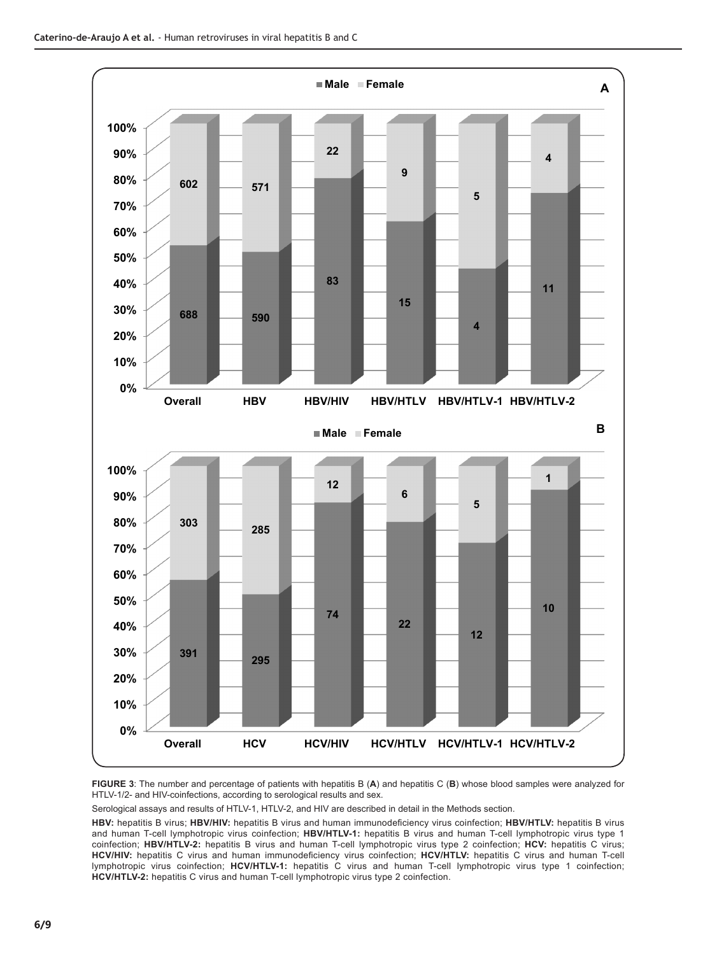

**FIGURE 3**: The number and percentage of patients with hepatitis B (**A**) and hepatitis C (**B**) whose blood samples were analyzed for HTLV-1/2- and HIV-coinfections, according to serological results and sex.

Serological assays and results of HTLV-1, HTLV-2, and HIV are described in detail in the Methods section.

**HBV:** hepatitis B virus; **HBV/HIV:** hepatitis B virus and human immunodeficiency virus coinfection; **HBV/HTLV:** hepatitis B virus and human T-cell lymphotropic virus coinfection; **HBV/HTLV-1:** hepatitis B virus and human T-cell lymphotropic virus type 1 coinfection; **HBV/HTLV-2:** hepatitis B virus and human T-cell lymphotropic virus type 2 coinfection; **HCV:** hepatitis C virus; **HCV/HIV:** hepatitis C virus and human immunodeficiency virus coinfection; **HCV/HTLV:** hepatitis C virus and human T-cell lymphotropic virus coinfection; **HCV/HTLV-1:** hepatitis C virus and human T-cell lymphotropic virus type 1 coinfection; **HCV/HTLV-2:** hepatitis C virus and human T-cell lymphotropic virus type 2 coinfection.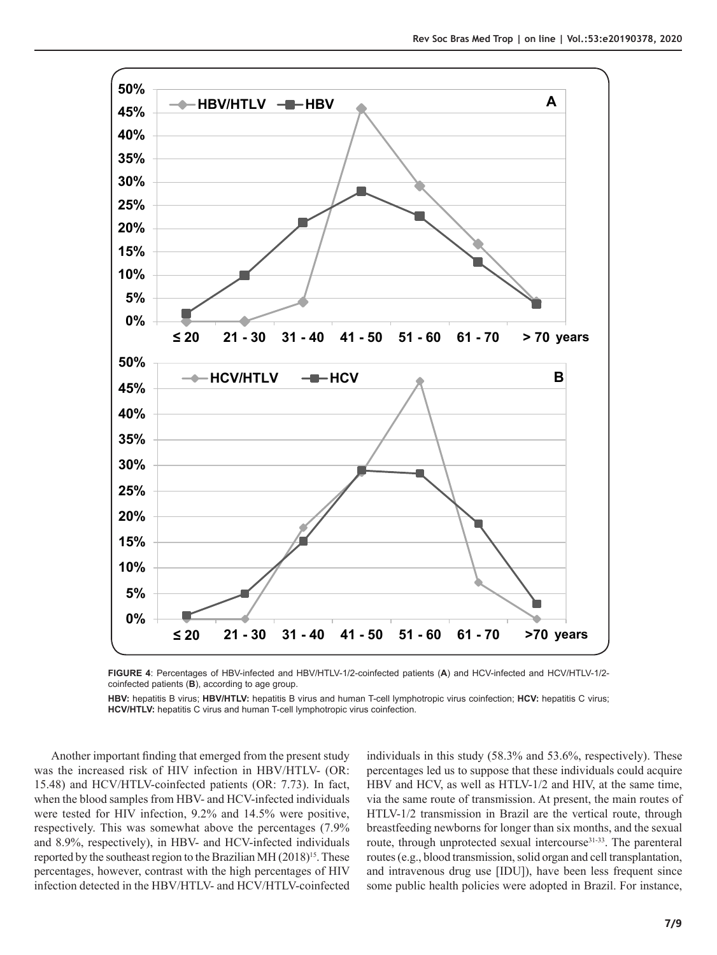

**FIGURE 4**: Percentages of HBV-infected and HBV/HTLV-1/2-coinfected patients (**A**) and HCV-infected and HCV/HTLV-1/2 coinfected patients (**B**), according to age group.

**HBV:** hepatitis B virus; **HBV/HTLV:** hepatitis B virus and human T-cell lymphotropic virus coinfection; **HCV:** hepatitis C virus; **HCV/HTLV:** hepatitis C virus and human T-cell lymphotropic virus coinfection.

Another important finding that emerged from the present study was the increased risk of HIV infection in HBV/HTLV- (OR: 15.48) and HCV/HTLV-coinfected patients (OR: 7.73). In fact, when the blood samples from HBV- and HCV-infected individuals were tested for HIV infection, 9.2% and 14.5% were positive, respectively. This was somewhat above the percentages (7.9% and 8.9%, respectively), in HBV- and HCV-infected individuals reported by the southeast region to the Brazilian MH (2018)<sup>15</sup>. These percentages, however, contrast with the high percentages of HIV infection detected in the HBV/HTLV- and HCV/HTLV-coinfected

individuals in this study (58.3% and 53.6%, respectively). These percentages led us to suppose that these individuals could acquire HBV and HCV, as well as HTLV-1/2 and HIV, at the same time, via the same route of transmission. At present, the main routes of HTLV-1/2 transmission in Brazil are the vertical route, through breastfeeding newborns for longer than six months, and the sexual route, through unprotected sexual intercourse<sup>31-33</sup>. The parenteral routes (e.g., blood transmission, solid organ and cell transplantation, and intravenous drug use [IDU]), have been less frequent since some public health policies were adopted in Brazil. For instance,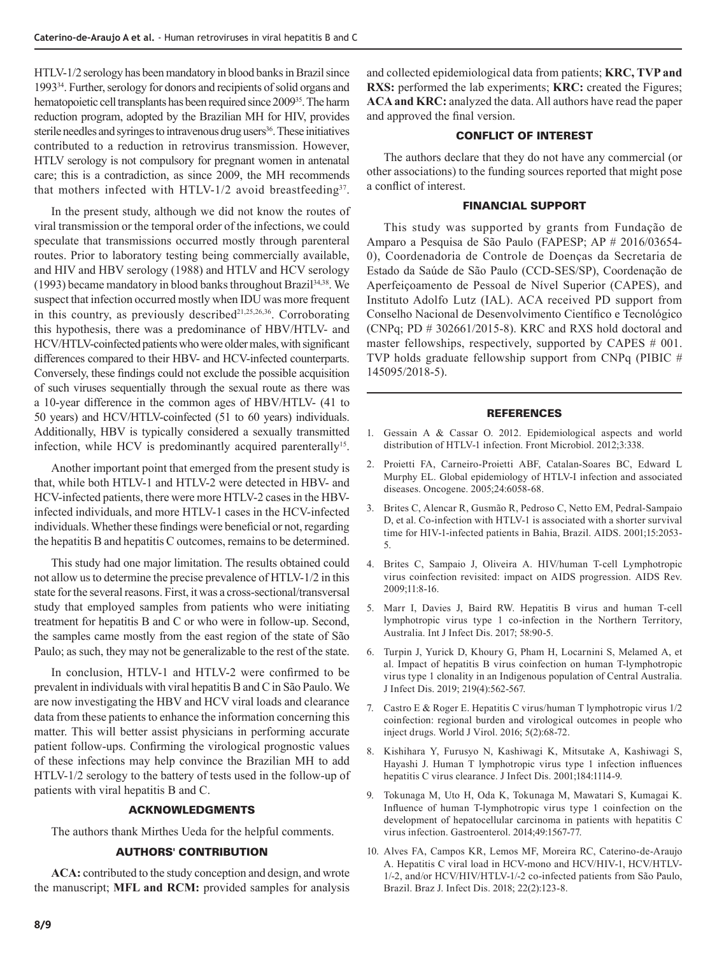HTLV-1/2 serology has been mandatory in blood banks in Brazil since 199334. Further, serology for donors and recipients of solid organs and hematopoietic cell transplants has been required since 200935. The harm reduction program, adopted by the Brazilian MH for HIV, provides sterile needles and syringes to intravenous drug users<sup>36</sup>. These initiatives contributed to a reduction in retrovirus transmission. However, HTLV serology is not compulsory for pregnant women in antenatal care; this is a contradiction, as since 2009, the MH recommends that mothers infected with HTLV-1/2 avoid breastfeeding<sup>37</sup>.

In the present study, although we did not know the routes of viral transmission or the temporal order of the infections, we could speculate that transmissions occurred mostly through parenteral routes. Prior to laboratory testing being commercially available, and HIV and HBV serology (1988) and HTLV and HCV serology (1993) became mandatory in blood banks throughout Brazil<sup>34,38</sup>. We suspect that infection occurred mostly when IDU was more frequent in this country, as previously described<sup> $21,25,26,36$ </sup>. Corroborating this hypothesis, there was a predominance of HBV/HTLV- and HCV/HTLV-coinfected patients who were older males, with significant differences compared to their HBV- and HCV-infected counterparts. Conversely, these findings could not exclude the possible acquisition of such viruses sequentially through the sexual route as there was a 10-year difference in the common ages of HBV/HTLV- (41 to 50 years) and HCV/HTLV-coinfected (51 to 60 years) individuals. Additionally, HBV is typically considered a sexually transmitted infection, while HCV is predominantly acquired parenterally<sup>15</sup>.

Another important point that emerged from the present study is that, while both HTLV-1 and HTLV-2 were detected in HBV- and HCV-infected patients, there were more HTLV-2 cases in the HBVinfected individuals, and more HTLV-1 cases in the HCV-infected individuals. Whether these findings were beneficial or not, regarding the hepatitis B and hepatitis C outcomes, remains to be determined.

This study had one major limitation. The results obtained could not allow us to determine the precise prevalence of HTLV-1/2 in this state for the several reasons. First, it was a cross-sectional/transversal study that employed samples from patients who were initiating treatment for hepatitis B and C or who were in follow-up. Second, the samples came mostly from the east region of the state of São Paulo; as such, they may not be generalizable to the rest of the state.

In conclusion, HTLV-1 and HTLV-2 were confirmed to be prevalent in individuals with viral hepatitis B and C in São Paulo. We are now investigating the HBV and HCV viral loads and clearance data from these patients to enhance the information concerning this matter. This will better assist physicians in performing accurate patient follow-ups. Confirming the virological prognostic values of these infections may help convince the Brazilian MH to add HTLV-1/2 serology to the battery of tests used in the follow-up of patients with viral hepatitis B and C.

# ACKNOWLEDGMENTS

The authors thank Mirthes Ueda for the helpful comments.

# AUTHORS' CONTRIBUTION

**ACA:** contributed to the study conception and design, and wrote the manuscript; **MFL and RCM:** provided samples for analysis and collected epidemiological data from patients; **KRC, TVP and RXS:** performed the lab experiments; **KRC:** created the Figures; **ACA and KRC:** analyzed the data. All authors have read the paper and approved the final version.

# CONFLICT OF INTEREST

The authors declare that they do not have any commercial (or other associations) to the funding sources reported that might pose a conflict of interest.

## FINANCIAL SUPPORT

This study was supported by grants from Fundação de Amparo a Pesquisa de São Paulo (FAPESP; AP # 2016/03654- 0), Coordenadoria de Controle de Doenças da Secretaria de Estado da Saúde de São Paulo (CCD-SES/SP), Coordenação de Aperfeiçoamento de Pessoal de Nível Superior (CAPES), and Instituto Adolfo Lutz (IAL). ACA received PD support from Conselho Nacional de Desenvolvimento Científico e Tecnológico (CNPq; PD # 302661/2015-8). KRC and RXS hold doctoral and master fellowships, respectively, supported by CAPES # 001. TVP holds graduate fellowship support from CNPq (PIBIC # 145095/2018-5).

## REFERENCES

- 1. Gessain A & Cassar O. 2012. Epidemiological aspects and world distribution of HTLV-1 infection. Front Microbiol. 2012;3:338.
- 2. Proietti FA, Carneiro-Proietti ABF, Catalan-Soares BC, Edward L Murphy EL. Global epidemiology of HTLV-I infection and associated diseases. Oncogene. 2005;24:6058-68.
- 3. Brites C, Alencar R, Gusmão R, Pedroso C, Netto EM, Pedral-Sampaio D, et al. Co-infection with HTLV-1 is associated with a shorter survival time for HIV-1-infected patients in Bahia, Brazil. AIDS. 2001;15:2053- 5.
- 4. Brites C, Sampaio J, Oliveira A. HIV/human T-cell Lymphotropic virus coinfection revisited: impact on AIDS progression. AIDS Rev. 2009;11:8-16.
- 5. Marr I, Davies J, Baird RW. Hepatitis B virus and human T-cell lymphotropic virus type 1 co-infection in the Northern Territory, Australia. Int J Infect Dis. 2017; 58:90-5.
- 6. Turpin J, Yurick D, Khoury G, Pham H, Locarnini S, Melamed A, et al. Impact of hepatitis B virus coinfection on human T-lymphotropic virus type 1 clonality in an Indigenous population of Central Australia. J Infect Dis. 2019; 219(4):562-567.
- 7. Castro E & Roger E. Hepatitis C virus/human T lymphotropic virus 1/2 coinfection: regional burden and virological outcomes in people who inject drugs. World J Virol. 2016; 5(2):68-72.
- 8. Kishihara Y, Furusyo N, Kashiwagi K, Mitsutake A, Kashiwagi S, Hayashi J. Human T lymphotropic virus type 1 infection influences hepatitis C virus clearance. J Infect Dis. 2001;184:1114-9.
- 9. Tokunaga M, Uto H, Oda K, Tokunaga M, Mawatari S, Kumagai K. Influence of human T-lymphotropic virus type 1 coinfection on the development of hepatocellular carcinoma in patients with hepatitis C virus infection. Gastroenterol. 2014;49:1567-77.
- 10. Alves FA, Campos KR, Lemos MF, Moreira RC, Caterino-de-Araujo A. Hepatitis C viral load in HCV-mono and HCV/HIV-1, HCV/HTLV-1/-2, and/or HCV/HIV/HTLV-1/-2 co-infected patients from São Paulo, Brazil. Braz J. Infect Dis. 2018; 22(2):123-8.